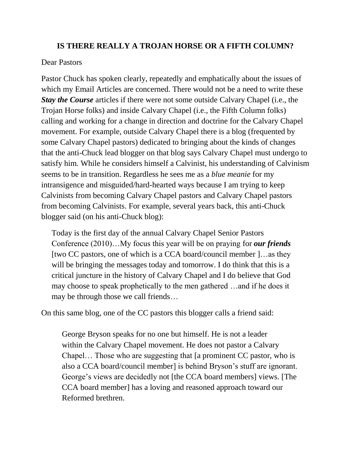## **IS THERE REALLY A TROJAN HORSE OR A FIFTH COLUMN?**

## Dear Pastors

Pastor Chuck has spoken clearly, repeatedly and emphatically about the issues of which my Email Articles are concerned. There would not be a need to write these *Stay the Course* articles if there were not some outside Calvary Chapel (i.e., the Trojan Horse folks) and inside Calvary Chapel (i.e., the Fifth Column folks) calling and working for a change in direction and doctrine for the Calvary Chapel movement. For example, outside Calvary Chapel there is a blog (frequented by some Calvary Chapel pastors) dedicated to bringing about the kinds of changes that the anti-Chuck lead blogger on that blog says Calvary Chapel must undergo to satisfy him. While he considers himself a Calvinist, his understanding of Calvinism seems to be in transition. Regardless he sees me as a *blue meanie* for my intransigence and misguided/hard-hearted ways because I am trying to keep Calvinists from becoming Calvary Chapel pastors and Calvary Chapel pastors from becoming Calvinists. For example, several years back, this anti-Chuck blogger said (on his anti-Chuck blog):

Today is the first day of the annual Calvary Chapel Senior Pastors Conference (2010)…My focus this year will be on praying for *our friends* [two CC pastors, one of which is a CCA board/council member ]...as they will be bringing the messages today and tomorrow. I do think that this is a critical juncture in the history of Calvary Chapel and I do believe that God may choose to speak prophetically to the men gathered …and if he does it may be through those we call friends…

On this same blog, one of the CC pastors this blogger calls a friend said:

George Bryson speaks for no one but himself. He is not a leader within the Calvary Chapel movement. He does not pastor a Calvary Chapel… Those who are suggesting that [a prominent CC pastor, who is also a CCA board/council member] is behind Bryson's stuff are ignorant. George's views are decidedly not [the CCA board members] views. [The CCA board member] has a loving and reasoned approach toward our Reformed brethren.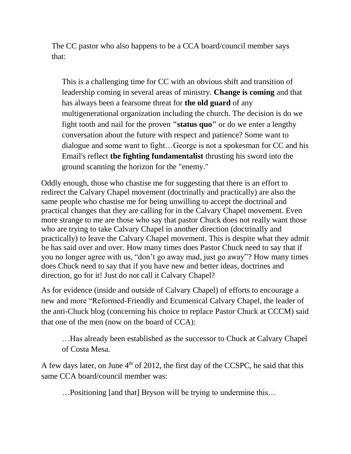The CC pastor who also happens to be a CCA board/council member says that:

This is a challenging time for CC with an obvious shift and transition of leadership coming in several areas of ministry. **Change is coming** and that has always been a fearsome threat for **the old guard** of any multigenerational organization including the church. The decision is do we fight tooth and nail for the proven **"status quo"** or do we enter a lengthy conversation about the future with respect and patience? Some want to dialogue and some want to fight…George is not a spokesman for CC and his Email's reflect **the fighting fundamentalist** thrusting his sword into the ground scanning the horizon for the "enemy."

Oddly enough, those who chastise me for suggesting that there is an effort to redirect the Calvary Chapel movement (doctrinally and practically) are also the same people who chastise me for being unwilling to accept the doctrinal and practical changes that they are calling for in the Calvary Chapel movement. Even more strange to me are those who say that pastor Chuck does not really want those who are trying to take Calvary Chapel in another direction (doctrinally and practically) to leave the Calvary Chapel movement. This is despite what they admit he has said over and over. How many times does Pastor Chuck need to say that if you no longer agree with us, "don't go away mad, just go away"? How many times does Chuck need to say that if you have new and better ideas, doctrines and direction, go for it! Just do not call it Calvary Chapel?

As for evidence (inside and outside of Calvary Chapel) of efforts to encourage a new and more "Reformed-Friendly and Ecumenical Calvary Chapel, the leader of the anti-Chuck blog (concerning his choice to replace Pastor Chuck at CCCM) said that one of the men (now on the board of CCA):

…Has already been established as the successor to Chuck at Calvary Chapel of Costa Mesa.

A few days later, on June  $4<sup>th</sup>$  of 2012, the first day of the CCSPC, he said that this same CCA board/council member was:

…Positioning [and that] Bryson will be trying to undermine this…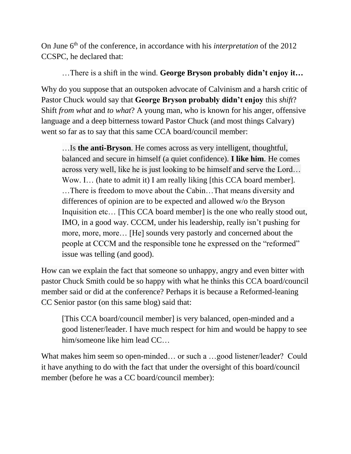On June 6<sup>th</sup> of the conference, in accordance with his *interpretation* of the 2012 CCSPC, he declared that:

## …There is a shift in the wind. **George Bryson probably didn't enjoy it…**

Why do you suppose that an outspoken advocate of Calvinism and a harsh critic of Pastor Chuck would say that **George Bryson probably didn't enjoy** this *shift*? Shift *from what* and *to what*? A young man, who is known for his anger, offensive language and a deep bitterness toward Pastor Chuck (and most things Calvary) went so far as to say that this same CCA board/council member:

…Is **the anti-Bryson**. He comes across as very intelligent, thoughtful, balanced and secure in himself (a quiet confidence). **I like him**. He comes across very well, like he is just looking to be himself and serve the Lord… Wow. I... (hate to admit it) I am really liking [this CCA board member]. …There is freedom to move about the Cabin…That means diversity and differences of opinion are to be expected and allowed w/o the Bryson Inquisition etc... [This CCA board member] is the one who really stood out, IMO, in a good way. CCCM, under his leadership, really isn't pushing for more, more, more… [He] sounds very pastorly and concerned about the people at CCCM and the responsible tone he expressed on the "reformed" issue was telling (and good).

How can we explain the fact that someone so unhappy, angry and even bitter with pastor Chuck Smith could be so happy with what he thinks this CCA board/council member said or did at the conference? Perhaps it is because a Reformed-leaning CC Senior pastor (on this same blog) said that:

[This CCA board/council member] is very balanced, open-minded and a good listener/leader. I have much respect for him and would be happy to see him/someone like him lead CC…

What makes him seem so open-minded... or such a ...good listener/leader? Could it have anything to do with the fact that under the oversight of this board/council member (before he was a CC board/council member):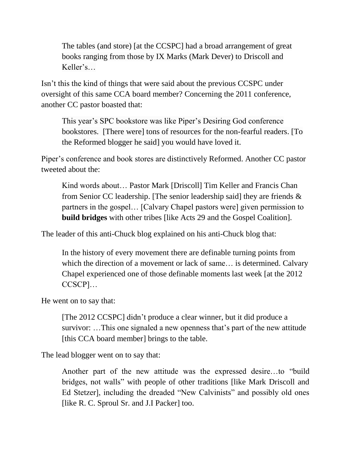The tables (and store) [at the CCSPC] had a broad arrangement of great books ranging from those by IX Marks (Mark Dever) to Driscoll and Keller's…

Isn't this the kind of things that were said about the previous CCSPC under oversight of this same CCA board member? Concerning the 2011 conference, another CC pastor boasted that:

This year's SPC bookstore was like Piper's Desiring God conference bookstores. [There were] tons of resources for the non-fearful readers. [To the Reformed blogger he said] you would have loved it.

Piper's conference and book stores are distinctively Reformed. Another CC pastor tweeted about the:

Kind words about… [Pastor Mark](https://twitter.com/#!/PastorMark) [Driscoll] Tim Keller and Francis Chan from Senior CC leadership. [The senior leadership said] they are friends  $\&$ partners in the gospel… [Calvary Chapel pastors were] given permission to **build bridges** with other tribes [like Acts 29 and the Gospel Coalition].

The leader of this anti-Chuck blog explained on his anti-Chuck blog that:

In the history of every movement there are definable turning points from which the direction of a movement or lack of same… is determined. Calvary Chapel experienced one of those definable moments last week [at the 2012 CCSCP]…

He went on to say that:

[The 2012 CCSPC] didn't produce a clear winner, but it did produce a survivor: …This one signaled a new openness that's part of the new attitude [this CCA board member] brings to the table.

The lead blogger went on to say that:

Another part of the new attitude was the expressed desire…to "build bridges, not walls" with people of other traditions [like Mark Driscoll and Ed Stetzer], including the dreaded "New Calvinists" and possibly old ones [like R. C. Sproul Sr. and J.I Packer] too.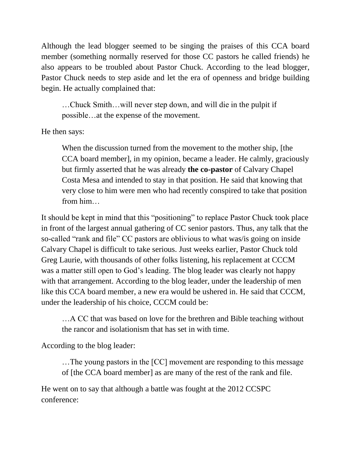Although the lead blogger seemed to be singing the praises of this CCA board member (something normally reserved for those CC pastors he called friends) he also appears to be troubled about Pastor Chuck. According to the lead blogger, Pastor Chuck needs to step aside and let the era of openness and bridge building begin. He actually complained that:

…Chuck Smith…will never step down, and will die in the pulpit if possible…at the expense of the movement.

He then says:

When the discussion turned from the movement to the mother ship, [the CCA board member], in my opinion, became a leader. He calmly, graciously but firmly asserted that he was already **the co-pastor** of Calvary Chapel Costa Mesa and intended to stay in that position. He said that knowing that very close to him were men who had recently conspired to take that position from him…

It should be kept in mind that this "positioning" to replace Pastor Chuck took place in front of the largest annual gathering of CC senior pastors. Thus, any talk that the so-called "rank and file" CC pastors are oblivious to what was/is going on inside Calvary Chapel is difficult to take serious. Just weeks earlier, Pastor Chuck told Greg Laurie, with thousands of other folks listening, his replacement at CCCM was a matter still open to God's leading. The blog leader was clearly not happy with that arrangement. According to the blog leader, under the leadership of men like this CCA board member, a new era would be ushered in. He said that CCCM, under the leadership of his choice, CCCM could be:

…A CC that was based on love for the brethren and Bible teaching without the rancor and isolationism that has set in with time.

According to the blog leader:

…The young pastors in the [CC] movement are responding to this message of [the CCA board member] as are many of the rest of the rank and file.

He went on to say that although a battle was fought at the 2012 CCSPC conference: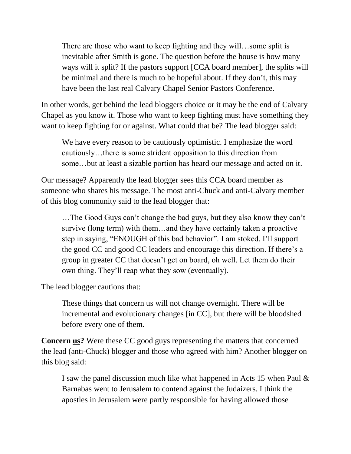There are those who want to keep fighting and they will…some split is inevitable after Smith is gone. The question before the house is how many ways will it split? If the pastors support [CCA board member], the splits will be minimal and there is much to be hopeful about. If they don't, this may have been the last real Calvary Chapel Senior Pastors Conference.

In other words, get behind the lead bloggers choice or it may be the end of Calvary Chapel as you know it. Those who want to keep fighting must have something they want to keep fighting for or against. What could that be? The lead blogger said:

[We](http://phoenixpreacher.net/?p=12572#comment-105856) have every reason to be cautiously optimistic. I emphasize the word cautiously…there is some strident opposition to this direction from some…but at least a sizable portion has heard our message and acted on it.

Our message? Apparently the lead blogger sees this CCA board member as someone who shares his message. The most anti-Chuck and anti-Calvary member of this blog community said to the lead blogger that:

…The Good Guys can't change the bad guys, but they also know they can't survive (long term) with them…and they have certainly taken a proactive step in saying, "ENOUGH of this bad behavior". I am stoked. I'll support the good CC and good CC leaders and encourage this direction. If there's a group in greater CC that doesn't get on board, oh well. Let them do their own thing. They'll reap what they sow (eventually).

The lead blogger cautions that:

These things that concern us will not change overnight. There will be incremental and evolutionary changes [in CC], but there will be bloodshed before every one of them.

**Concern us?** Were these CC good guys representing the matters that concerned the lead (anti-Chuck) blogger and those who agreed with him? Another blogger on this blog said:

I saw the panel discussion much like what happened in [Acts](http://www.gnpcb.org/esv/search/?go=Go&q=Acts+15) 1[5](http://www.gnpcb.org/esv/search/?go=Go&q=Acts+15) when Paul & Barnabas went to Jerusalem to contend against the Judaizers. I think the apostles in Jerusalem were partly responsible for having allowed those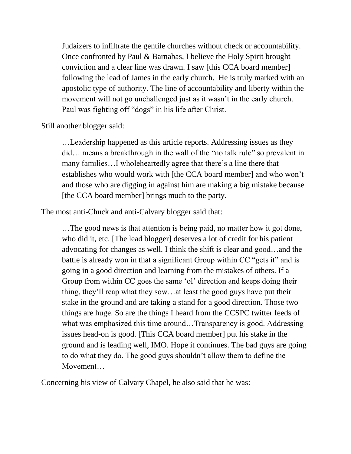Judaizers to infiltrate the gentile churches without check or accountability. Once confronted by Paul & Barnabas, I believe the Holy Spirit brought conviction and a clear line was drawn. I saw [this CCA board member] following the lead of James in the early church. He is truly marked with an apostolic type of authority. The line of accountability and liberty within the movement will not go unchallenged just as it wasn't in the early church. Paul was fighting off "dogs" in his life after Christ.

Still another blogger said:

…Leadership happened as this article reports. Addressing issues as they did… means a breakthrough in the wall of the "no talk rule" so prevalent in many families…I wholeheartedly agree that there's a line there that establishes who would work with [the CCA board member] and who won't and those who are digging in against him are making a big mistake because [the CCA board member] brings much to the party.

The most anti-Chuck and anti-Calvary blogger said that:

…The good news is that attention is being paid, no matter how it got done, who did it, etc. [The lead blogger] deserves a lot of credit for his patient advocating for changes as well. I think the shift is clear and good…and the battle is already won in that a significant Group within CC "gets it" and is going in a good direction and learning from the mistakes of others. If a Group from within CC goes the same 'ol' direction and keeps doing their thing, they'll reap what they sow…at least the good guys have put their stake in the ground and are taking a stand for a good direction. Those two things are huge. So are the things I heard from the CCSPC twitter feeds of what was emphasized this time around...Transparency is good. Addressing issues head-on is good. [This CCA board member] put his stake in the ground and is leading well, IMO. Hope it continues. The bad guys are going to do what they do. The good guys shouldn't allow them to define the Movement…

Concerning his view of Calvary Chapel, he also said that he was: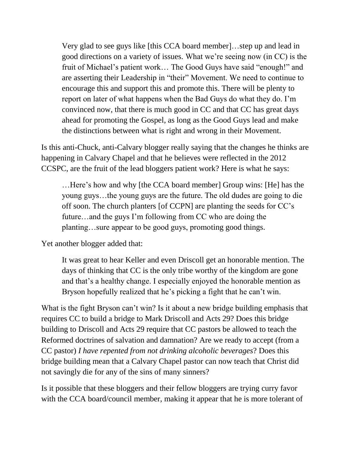Very glad to see guys like [this CCA board member]…step up and lead in good directions on a variety of issues. What we're seeing now (in CC) is the fruit of Michael's patient work… The Good Guys have said "enough!" and are asserting their Leadership in "their" Movement. We need to continue to encourage this and support this and promote this. There will be plenty to report on later of what happens when the Bad Guys do what they do. I'm convinced now, that there is much good in CC and that CC has great days ahead for promoting the Gospel, as long as the Good Guys lead and make the distinctions between what is right and wrong in their Movement.

Is this anti-Chuck, anti-Calvary blogger really saying that the changes he thinks are happening in Calvary Chapel and that he believes were reflected in the 2012 CCSPC, are the fruit of the lead bloggers patient work? Here is what he says:

…Here's how and why [the CCA board member] Group wins: [He] has the young guys…the young guys are the future. The old dudes are going to die off soon. The church planters [of CCPN] are planting the seeds for CC's future…and the guys I'm following from CC who are doing the planting…sure appear to be good guys, promoting good things.

Yet another blogger added that:

It was great to hear Keller and even Driscoll get an honorable mention. The days of thinking that CC is the only tribe worthy of the kingdom are gone and that's a healthy change. I especially enjoyed the honorable mention as Bryson hopefully realized that he's picking a fight that he can't win.

What is the fight Bryson can't win? Is it about a new bridge building emphasis that requires CC to build a bridge to Mark Driscoll and Acts 29? Does this bridge building to Driscoll and Acts 29 require that CC pastors be allowed to teach the Reformed doctrines of salvation and damnation? Are we ready to accept (from a CC pastor) *I have repented from not drinking alcoholic beverages*? Does this bridge building mean that a Calvary Chapel pastor can now teach that Christ did not savingly die for any of the sins of many sinners?

Is it possible that these bloggers and their fellow bloggers are trying curry favor with the CCA board/council member, making it appear that he is more tolerant of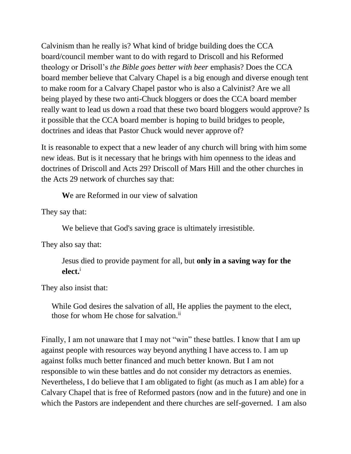Calvinism than he really is? What kind of bridge building does the CCA board/council member want to do with regard to Driscoll and his Reformed theology or Drisoll's *the Bible goes better with beer* emphasis? Does the CCA board member believe that Calvary Chapel is a big enough and diverse enough tent to make room for a Calvary Chapel pastor who is also a Calvinist? Are we all being played by these two anti-Chuck bloggers or does the CCA board member really want to lead us down a road that these two board bloggers would approve? Is it possible that the CCA board member is hoping to build bridges to people, doctrines and ideas that Pastor Chuck would never approve of?

It is reasonable to expect that a new leader of any church will bring with him some new ideas. But is it necessary that he brings with him openness to the ideas and doctrines of Driscoll and Acts 29? Driscoll of Mars Hill and the other churches in the Acts 29 network of churches say that:

**W**e are Reformed in our view of salvation

They say that:

We believe that God's saving grace is ultimately irresistible.

They also say that:

Jesus died to provide payment for all, but **only in a saving way for the elect.**<sup>i</sup>

They also insist that:

While God desires the salvation of all, He applies the payment to the elect, those for whom He chose for salvation.<sup>ii</sup>

Finally, I am not unaware that I may not "win" these battles. I know that I am up against people with resources way beyond anything I have access to. I am up against folks much better financed and much better known. But I am not responsible to win these battles and do not consider my detractors as enemies. Nevertheless, I do believe that I am obligated to fight (as much as I am able) for a Calvary Chapel that is free of Reformed pastors (now and in the future) and one in which the Pastors are independent and there churches are self-governed. I am also